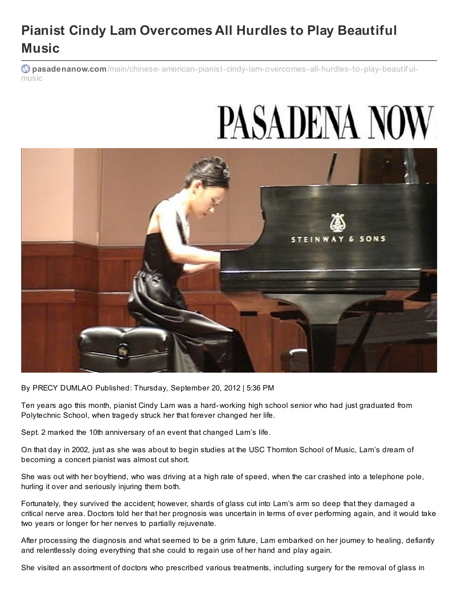## **Pianist Cindy Lam Overcomes All Hurdles to Play Beautiful Music**

**pasadenanow.com**[/main/chinese-american-pianist-cindy-lam-overcomes-all-hurdles-to-play-beautif](http://www.pasadenanow.com/main/chinese-american-pianist-cindy-lam-overcomes-all-hurdles-to-play-beautiful-music) ulmusic

## **PASADENA NOW**



By PRECY DUMLAO Published: Thursday, September 20, 2012 | 5:36 PM

Ten years ago this month, pianist Cindy Lam was a hard-working high school senior who had just graduated from Polytechnic School, when tragedy struck her that forever changed her life.

Sept. 2 marked the 10th anniversary of an event that changed Lam's life.

On that day in 2002, just as she was about to begin studies at the USC Thornton School of Music, Lam's dream of becoming a concert pianist was almost cut short.

She was out with her boyfriend, who was driving at a high rate of speed, when the car crashed into a telephone pole, hurling it over and seriously injuring them both.

Fortunately, they survived the accident; however, shards of glass cut into Lam's arm so deep that they damaged a critical nerve area. Doctors told her that her prognosis was uncertain in terms of ever performing again, and it would take two years or longer for her nerves to partially rejuvenate.

After processing the diagnosis and what seemed to be a grim future, Lam embarked on her journey to healing, defiantly and relentlessly doing everything that she could to regain use of her hand and play again.

She visited an assortment of doctors who prescribed various treatments, including surgery for the removal of glass in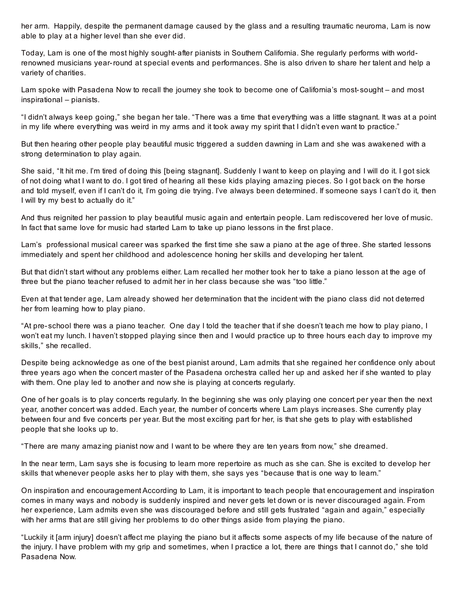her arm. Happily, despite the permanent damage caused by the glass and a resulting traumatic neuroma, Lam is now able to play at a higher level than she ever did.

Today, Lam is one of the most highly sought-after pianists in Southern California. She regularly performs with worldrenowned musicians year-round at special events and performances. She is also driven to share her talent and help a variety of charities.

Lam spoke with Pasadena Now to recall the journey she took to become one of California's most- sought – and most inspirational – pianists.

"I didn't always keep going," she began her tale. "There was a time that everything was a little stagnant. It was at a point in my life where everything was weird in my arms and it took away my spirit that I didn't even want to practice."

But then hearing other people play beautiful music triggered a sudden dawning in Lam and she was awakened with a strong determination to play again.

She said, "It hit me. I'm tired of doing this [being stagnant]. Suddenly I want to keep on playing and I will do it. I got sick of not doing what I want to do. I got tired of hearing all these kids playing amazing pieces. So I got back on the horse and told myself, even if I can't do it, I'm going die trying. I've always been determined. If someone says I can't do it, then I will try my best to actually do it."

And thus reignited her passion to play beautiful music again and entertain people. Lam rediscovered her love of music. In fact that same love for music had started Lam to take up piano lessons in the first place.

Lam's professional musical career was sparked the first time she saw a piano at the age of three. She started lessons immediately and spent her childhood and adolescence honing her skills and developing her talent.

But that didn't start without any problems either. Lam recalled her mother took her to take a piano lesson at the age of three but the piano teacher refused to admit her in her class because she was "too little."

Even at that tender age, Lam already showed her determination that the incident with the piano class did not deterred her from learning how to play piano.

"At pre- school there was a piano teacher. One day I told the teacher that if she doesn't teach me how to play piano, I won't eat my lunch. I haven't stopped playing since then and I would practice up to three hours each day to improve my skills," she recalled.

Despite being acknowledge as one of the best pianist around, Lam admits that she regained her confidence only about three years ago when the concert master of the Pasadena orchestra called her up and asked her if she wanted to play with them. One play led to another and now she is playing at concerts regularly.

One of her goals is to play concerts regularly. In the beginning she was only playing one concert per year then the next year, another concert was added. Each year, the number of concerts where Lam plays increases. She currently play between four and five concerts per year. But the most exciting part for her, is that she gets to play with established people that she looks up to.

"There are many amazing pianist now and I want to be where they are ten years from now," she dreamed.

In the near term, Lam says she is focusing to learn more repertoire as much as she can. She is excited to develop her skills that whenever people asks her to play with them, she says yes "because that is one way to learn."

On inspiration and encouragement According to Lam, it is important to teach people that encouragement and inspiration comes in many ways and nobody is suddenly inspired and never gets let down or is never discouraged again. From her experience, Lam admits even she was discouraged before and still gets frustrated "again and again," especially with her arms that are still giving her problems to do other things aside from playing the piano.

"Luckily it [arm injury] doesn't affect me playing the piano but it affects some aspects of my life because of the nature of the injury. I have problem with my grip and sometimes, when I practice a lot, there are things that I cannot do," she told Pasadena Now.